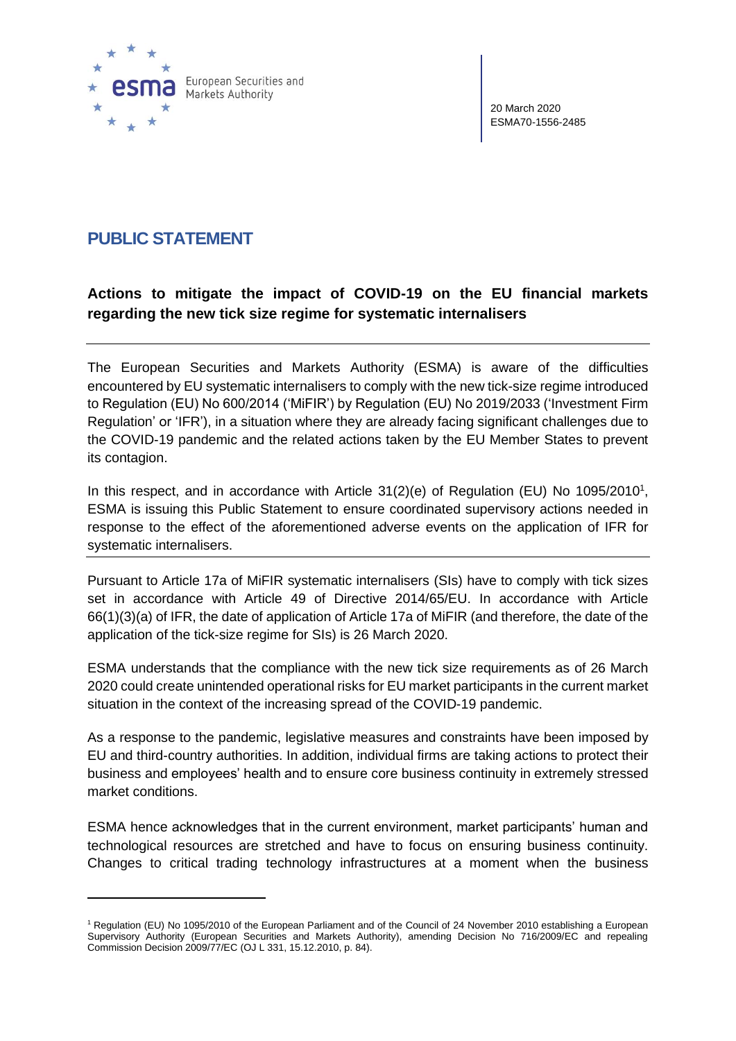

20 March 2020 ESMA70-1556-2485

## **PUBLIC STATEMENT**

## **Actions to mitigate the impact of COVID-19 on the EU financial markets regarding the new tick size regime for systematic internalisers**

The European Securities and Markets Authority (ESMA) is aware of the difficulties encountered by EU systematic internalisers to comply with the new tick-size regime introduced to Regulation (EU) No 600/2014 ('MiFIR') by Regulation (EU) No 2019/2033 ('Investment Firm Regulation' or 'IFR'), in a situation where they are already facing significant challenges due to the COVID-19 pandemic and the related actions taken by the EU Member States to prevent its contagion.

In this respect, and in accordance with Article  $31(2)(e)$  of Regulation (EU) No 1095/2010<sup>1</sup>, ESMA is issuing this Public Statement to ensure coordinated supervisory actions needed in response to the effect of the aforementioned adverse events on the application of IFR for systematic internalisers.

Pursuant to Article 17a of MiFIR systematic internalisers (SIs) have to comply with tick sizes set in accordance with Article 49 of Directive 2014/65/EU. In accordance with Article 66(1)(3)(a) of IFR, the date of application of Article 17a of MiFIR (and therefore, the date of the application of the tick-size regime for SIs) is 26 March 2020.

ESMA understands that the compliance with the new tick size requirements as of 26 March 2020 could create unintended operational risks for EU market participants in the current market situation in the context of the increasing spread of the COVID-19 pandemic.

As a response to the pandemic, legislative measures and constraints have been imposed by EU and third-country authorities. In addition, individual firms are taking actions to protect their business and employees' health and to ensure core business continuity in extremely stressed market conditions.

ESMA hence acknowledges that in the current environment, market participants' human and technological resources are stretched and have to focus on ensuring business continuity. Changes to critical trading technology infrastructures at a moment when the business

<sup>1</sup> Regulation (EU) No 1095/2010 of the European Parliament and of the Council of 24 November 2010 establishing a European Supervisory Authority (European Securities and Markets Authority), amending Decision No 716/2009/EC and repealing Commission Decision 2009/77/EC (OJ L 331, 15.12.2010, p. 84).